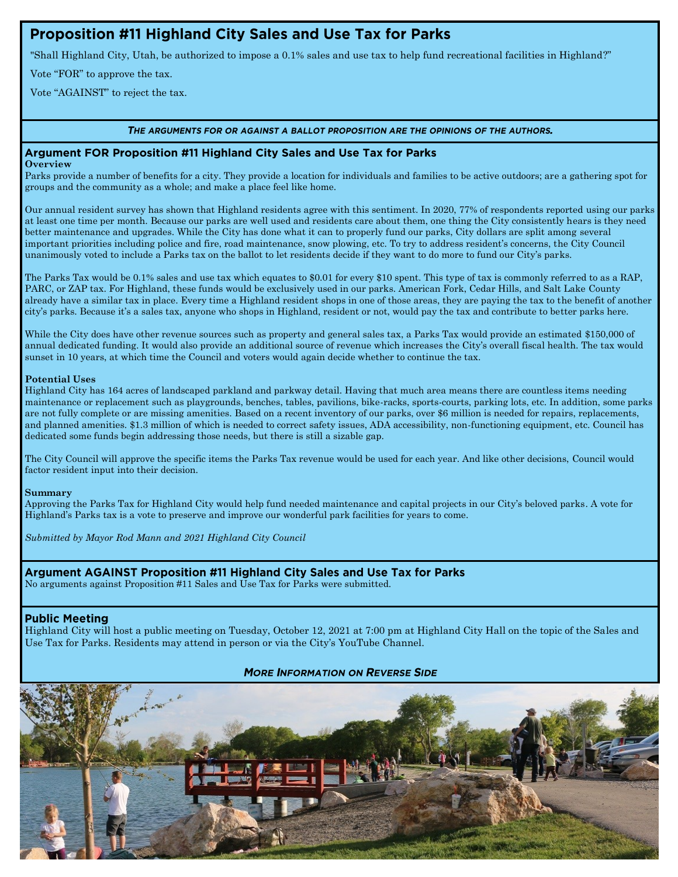# Proposition #11 Highland City Sales and Use Tax for Parks

"Shall Highland City, Utah, be authorized to impose a 0.1% sales and use tax to help fund recreational facilities in Highland?"

Vote "FOR" to approve the tax.

Vote "AGAINST" to reject the tax.

### THE ARGUMENTS FOR OR AGAINST A BALLOT PROPOSITION ARE THE OPINIONS OF THE AUTHORS.

## Argument FOR Proposition #11 Highland City Sales and Use Tax for Parks

**Overview**

Parks provide a number of benefits for a city. They provide a location for individuals and families to be active outdoors; are a gathering spot for groups and the community as a whole; and make a place feel like home.

Our annual resident survey has shown that Highland residents agree with this sentiment. In 2020, 77% of respondents reported using our parks at least one time per month. Because our parks are well used and residents care about them, one thing the City consistently hears is they need better maintenance and upgrades. While the City has done what it can to properly fund our parks, City dollars are split among several important priorities including police and fire, road maintenance, snow plowing, etc. To try to address resident's concerns, the City Council unanimously voted to include a Parks tax on the ballot to let residents decide if they want to do more to fund our City's parks.

The Parks Tax would be 0.1% sales and use tax which equates to \$0.01 for every \$10 spent. This type of tax is commonly referred to as a RAP, PARC, or ZAP tax. For Highland, these funds would be exclusively used in our parks. American Fork, Cedar Hills, and Salt Lake County already have a similar tax in place. Every time a Highland resident shops in one of those areas, they are paying the tax to the benefit of another city's parks. Because it's a sales tax, anyone who shops in Highland, resident or not, would pay the tax and contribute to better parks here.

While the City does have other revenue sources such as property and general sales tax, a Parks Tax would provide an estimated \$150,000 of annual dedicated funding. It would also provide an additional source of revenue which increases the City's overall fiscal health. The tax would sunset in 10 years, at which time the Council and voters would again decide whether to continue the tax.

### **Potential Uses**

Highland City has 164 acres of landscaped parkland and parkway detail. Having that much area means there are countless items needing maintenance or replacement such as playgrounds, benches, tables, pavilions, bike-racks, sports-courts, parking lots, etc. In addition, some parks are not fully complete or are missing amenities. Based on a recent inventory of our parks, over \$6 million is needed for repairs, replacements, and planned amenities. \$1.3 million of which is needed to correct safety issues, ADA accessibility, non-functioning equipment, etc. Council has dedicated some funds begin addressing those needs, but there is still a sizable gap.

The City Council will approve the specific items the Parks Tax revenue would be used for each year. And like other decisions, Council would factor resident input into their decision.

#### **Summary**

Approving the Parks Tax for Highland City would help fund needed maintenance and capital projects in our City's beloved parks. A vote for Highland's Parks tax is a vote to preserve and improve our wonderful park facilities for years to come.

*Submitted by Mayor Rod Mann and 2021 Highland City Council*

# Argument AGAINST Proposition #11 Highland City Sales and Use Tax for Parks

No arguments against Proposition #11 Sales and Use Tax for Parks were submitted.

# **Public Meeting**

Highland City will host a public meeting on Tuesday, October 12, 2021 at 7:00 pm at Highland City Hall on the topic of the Sales and Use Tax for Parks. Residents may attend in person or via the City's YouTube Channel.

# **MORE INFORMATION ON REVERSE SIDE**